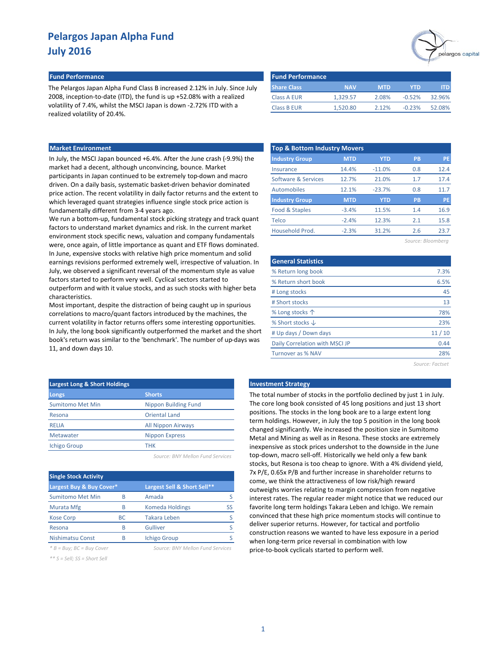#### **Fund Performance Fund Performance**

The Pelargos Japan Alpha Fund Class B increased 2.12% in July. Since July 2008, inception-to-date (ITD), the fund is up +52.08% with a realized volatility of 7.4%, whilst the MSCI Japan is down -2.72% ITD with a realized volatility of 20.4%.

| <b>Fund Performance</b> |            |            |          |        |
|-------------------------|------------|------------|----------|--------|
| <b>Share Class</b>      | <b>NAV</b> | <b>MTD</b> | YTD      |        |
| <b>Class A EUR</b>      | 1.329.57   | 2.08%      | $-0.52%$ | 32.96% |
| <b>Class B EUR</b>      | 1.520.80   | 2.12%      | $-0.23%$ | 52.08% |

### **Market Environment**

In July, the MSCI Japan bounced +6.4%. After the June crash (-9.9%) the market had a decent, although unconvincing, bounce. Market participants in Japan continued to be extremely top-down and macro driven. On a daily basis, systematic basket-driven behavior dominated price action. The recent volatility in daily factor returns and the extent to which leveraged quant strategies influence single stock price action is fundamentally different from 3-4 years ago.

We run a bottom-up, fundamental stock picking strategy and track quant factors to understand market dynamics and risk. In the current market environment stock specific news, valuation and company fundamentals were, once again, of little importance as quant and ETF flows dominated. In June, expensive stocks with relative high price momentum and solid earnings revisions performed extremely well, irrespective of valuation. In July, we observed a significant reversal of the momentum style as value factors started to perform very well. Cyclical sectors started to outperform and with it value stocks, and as such stocks with higher beta characteristics.

Most important, despite the distraction of being caught up in spurious correlations to macro/quant factors introduced by the machines, the current volatility in factor returns offers some interesting opportunities. In July, the long book significantly outperformed the market and the short book's return was similar to the 'benchmark'. The number of up-days was 11, and down days 10.

| <b>Top &amp; Bottom Industry Movers</b> |            |            |           |           |  |  |  |  |  |  |  |
|-----------------------------------------|------------|------------|-----------|-----------|--|--|--|--|--|--|--|
| <b>Industry Group</b>                   | <b>MTD</b> | <b>YTD</b> | <b>PB</b> | PE        |  |  |  |  |  |  |  |
| Insurance                               | 14.4%      | $-11.0%$   | 0.8       | 12.4      |  |  |  |  |  |  |  |
| Software & Services                     | 12.7%      | 21.0%      | 1.7       | 17.4      |  |  |  |  |  |  |  |
| Automobiles                             | 12.1%      | $-23.7%$   | 0.8       | 11.7      |  |  |  |  |  |  |  |
| <b>Industry Group</b>                   | <b>MTD</b> | <b>YTD</b> | <b>PB</b> | <b>PE</b> |  |  |  |  |  |  |  |
| Food & Staples                          | $-3.4%$    | 11.5%      | 1.4       | 16.9      |  |  |  |  |  |  |  |
| Telco                                   | $-2.4%$    | 12.3%      | 2.1       | 15.8      |  |  |  |  |  |  |  |
| Household Prod.                         | $-2.3%$    | 31.2%      | 2.6       | 23.7      |  |  |  |  |  |  |  |
|                                         |            |            |           |           |  |  |  |  |  |  |  |

*Source: Bloomberg*

elargos capital

| <b>General Statistics</b>      |       |
|--------------------------------|-------|
| % Return long book             | 7.3%  |
| % Return short book            | 6.5%  |
| # Long stocks                  | 45    |
| # Short stocks                 | 13    |
| % Long stocks 个                | 78%   |
| % Short stocks $\downarrow$    | 23%   |
| # Up days / Down days          | 11/10 |
| Daily Correlation with MSCI JP | 0.44  |
| Turnover as % NAV              | 28%   |

*Source: Factset*

| <b>Largest Long &amp; Short Holdings</b> |                             |
|------------------------------------------|-----------------------------|
| Longs                                    | <b>Shorts</b>               |
| <b>Sumitomo Met Min</b>                  | <b>Nippon Building Fund</b> |
| Resona                                   | Oriental Land               |
| RELIA                                    | <b>All Nippon Airways</b>   |
| Metawater                                | <b>Nippon Express</b>       |
| <b>Ichigo Group</b>                      | THK                         |
|                                          |                             |

| Source: BNY Mellon Fund Services |  |
|----------------------------------|--|
|----------------------------------|--|

| <b>Single Stock Activity</b> |           |                             |    |  |  |  |  |  |
|------------------------------|-----------|-----------------------------|----|--|--|--|--|--|
| Largest Buy & Buy Cover*     |           | Largest Sell & Short Sell** |    |  |  |  |  |  |
| <b>Sumitomo Met Min</b>      | R         | Amada                       |    |  |  |  |  |  |
| <b>Murata Mfg</b>            | B         | <b>Komeda Holdings</b>      | SS |  |  |  |  |  |
| <b>Kose Corp</b>             | <b>BC</b> | <b>Takara Leben</b>         |    |  |  |  |  |  |
| Resona                       | B         | Gulliver                    |    |  |  |  |  |  |
| Nishimatsu Const             | R         | <b>Ichigo Group</b>         |    |  |  |  |  |  |
|                              |           |                             |    |  |  |  |  |  |

*\*\* S = Sell; SS = Short Sell*

*\* B = Buy; BC = Buy Cover Source: BNY Mellon Fund Services*

#### **Late Book Strategy**

The total number of stocks in the portfolio declined by just 1 in July. The core long book consisted of 45 long positions and just 13 short positions. The stocks in the long book are to a large extent long term holdings. However, in July the top 5 position in the long book changed significantly. We increased the position size in Sumitomo Metal and Mining as well as in Resona. These stocks are extremely inexpensive as stock prices undershot to the downside in the June top-down, macro sell-off. Historically we held only a few bank stocks, but Resona is too cheap to ignore. With a 4% dividend yield, 7x P/E, 0.65x P/B and further increase in shareholder returns to come, we think the attractiveness of low risk/high reward outweighs worries relating to margin compression from negative interest rates. The regular reader might notice that we reduced our favorite long term holdings Takara Leben and Ichigo. We remain convinced that these high price momentum stocks will continue to deliver superior returns. However, for tactical and portfolio construction reasons we wanted to have less exposure in a period when long-term price reversal in combination with low price-to-book cyclicals started to perform well.

1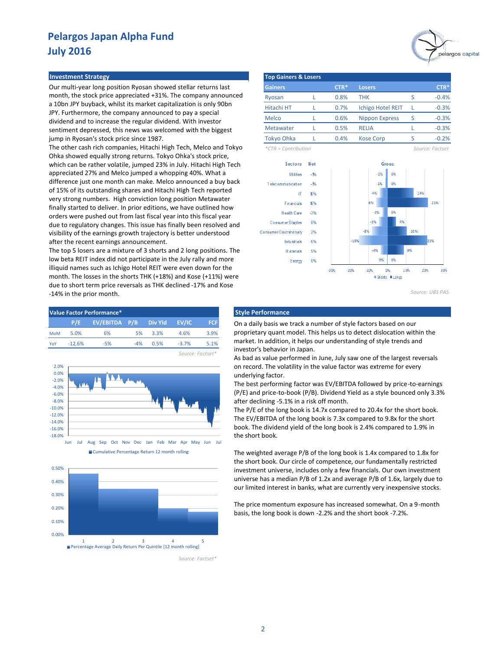#### **Investment Strategy**

Our multi-year long position Ryosan showed stellar returns last month, the stock price appreciated +31%. The company announced a 10bn JPY buyback, whilst its market capitalization is only 90bn JPY. Furthermore, the company announced to pay a special dividend and to increase the regular dividend. With investor sentiment depressed, this news was welcomed with the biggest jump in Ryosan's stock price since 1987.

The other cash rich companies, Hitachi High Tech, Melco and Tokyo Ohka showed equally strong returns. Tokyo Ohka's stock price, which can be rather volatile, jumped 23% in July. Hitachi High Tech appreciated 27% and Melco jumped a whopping 40%. What a difference just one month can make. Melco announced a buy back of 15% of its outstanding shares and Hitachi High Tech reported very strong numbers. High conviction long position Metawater finally started to deliver. In prior editions, we have outlined how orders were pushed out from last fiscal year into this fiscal year due to regulatory changes. This issue has finally been resolved and visibility of the earnings growth trajectory is better understood after the recent earnings announcement.

The top 5 losers are a mixture of 3 shorts and 2 long positions. The low beta REIT index did not participate in the July rally and more illiquid names such as Ichigo Hotel REIT were even down for the month. The losses in the shorts THK (+18%) and Kose (+11%) were due to short term price reversals as THK declined -17% and Kose -14% in the prior month.









*Source: Factset\**



| <b>Top Gainers &amp; Losers</b> |  |        |                          |   |         |  |  |  |  |  |  |
|---------------------------------|--|--------|--------------------------|---|---------|--|--|--|--|--|--|
| <b>Gainers</b>                  |  | $CTR*$ | <b>Losers</b>            |   | $CTR*$  |  |  |  |  |  |  |
| Ryosan                          |  | 0.8%   | тнк                      | ς | $-0.4%$ |  |  |  |  |  |  |
| Hitachi HT                      |  | 0.7%   | <b>Ichigo Hotel REIT</b> |   | $-0.3%$ |  |  |  |  |  |  |
| Melco                           |  | 0.6%   | <b>Nippon Express</b>    | S | $-0.3%$ |  |  |  |  |  |  |
| Metawater                       |  | 0.5%   | RELIA                    |   | $-0.3%$ |  |  |  |  |  |  |
| <b>Tokyo Ohka</b>               |  | 0.4%   | <b>Kose Corp</b>         |   | $-0.2%$ |  |  |  |  |  |  |

*\*CTR = Contribution Source: Factset*





On a daily basis we track a number of style factors based on our proprietary quant model. This helps us to detect dislocation within the market. In addition, it helps our understanding of style trends and investor's behavior in Japan.

As bad as value performed in June, July saw one of the largest reversals on record. The volatility in the value factor was extreme for every underlying factor.

The best performing factor was EV/EBITDA followed by price-to-earnings (P/E) and price-to-book (P/B). Dividend Yield as a style bounced only 3.3% after declining -5.1% in a risk off month.

The P/E of the long book is 14.7x compared to 20.4x for the short book. The EV/EBITDA of the long book is 7.3x compared to 9.8x for the short book. The dividend yield of the long book is 2.4% compared to 1.9% in the short book.

The weighted average P/B of the long book is 1.4x compared to 1.8x for the short book. Our circle of competence, our fundamentally restricted investment universe, includes only a few financials. Our own investment universe has a median P/B of 1.2x and average P/B of 1.6x, largely due to our limited interest in banks, what are currently very inexpensive stocks.

The price momentum exposure has increased somewhat. On a 9-month basis, the long book is down -2.2% and the short book -7.2%.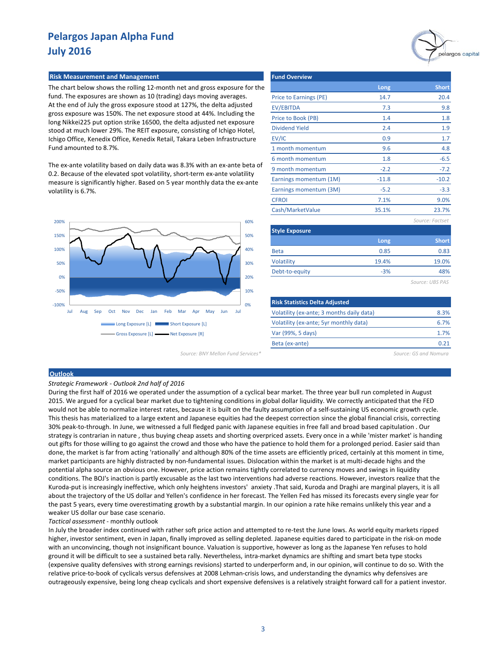# pelargos capital

### **Risk Measurement and Management**

The chart below shows the rolling 12-month net and gross exposure for the fund. The exposures are shown as 10 (trading) days moving averages. At the end of July the gross exposure stood at 127%, the delta adjusted gross exposure was 150%. The net exposure stood at 44%. Including the long Nikkei225 put option strike 16500, the delta adjusted net exposure stood at much lower 29%. The REIT exposure, consisting of Ichigo Hotel, Ichigo Office, Kenedix Office, Kenedix Retail, Takara Leben Infrastructure Fund amounted to 8.7%.

The ex-ante volatility based on daily data was 8.3% with an ex-ante beta of 0.2. Because of the elevated spot volatility, short-term ex-ante volatility measure is significantly higher. Based on 5 year monthly data the ex-ante volatility is 6.7%.



*Source: BNY Mellon Fund Services\* Source: GS and Nomura*

| <b>Fund Overview</b>   |         |                 |
|------------------------|---------|-----------------|
|                        | Long    | <b>Short</b>    |
| Price to Earnings (PE) | 14.7    | 20.4            |
| <b>EV/EBITDA</b>       | 7.3     | 9.8             |
| Price to Book (PB)     | 1.4     | 1.8             |
| <b>Dividend Yield</b>  | 2.4     | 1.9             |
| EV/IC                  | 0.9     | 1.7             |
| 1 month momentum       | 9.6     | 4.8             |
| 6 month momentum       | 1.8     | $-6.5$          |
| 9 month momentum       | $-2.2$  | $-7.2$          |
| Earnings momentum (1M) | $-11.8$ | $-10.2$         |
| Earnings momentum (3M) | $-5.2$  | $-3.3$          |
| <b>CFROI</b>           | 7.1%    | 9.0%            |
| Cash/MarketValue       | 35.1%   | 23.7%           |
|                        |         | Source: Factset |
| <b>Style Exposure</b>  |         |                 |
|                        | Long    | <b>Short</b>    |
| <b>Beta</b>            | 0.85    | 0.83            |

*Source: UBS PAS*

19.0% 48%

| <b>Risk Statistics Delta Adjusted</b>     |      |
|-------------------------------------------|------|
| Volatility (ex-ante; 3 months daily data) | 8.3% |
| Volatility (ex-ante; 5yr monthly data)    | 6.7% |
| Var (99%, 5 days)                         | 1.7% |
| Beta (ex-ante)                            |      |

-3% 19.4%

#### **Outlook**

#### *Strategic Framework - Outlook 2nd half of 2016*

During the first half of 2016 we operated under the assumption of a cyclical bear market. The three year bull run completed in August 2015. We argued for a cyclical bear market due to tightening conditions in global dollar liquidity. We correctly anticipated that the FED would not be able to normalize interest rates, because it is built on the faulty assumption of a self-sustaining US economic growth cycle. This thesis has materialized to a large extent and Japanese equities had the deepest correction since the global financial crisis, correcting 30% peak-to-through. In June, we witnessed a full fledged panic with Japanese equities in free fall and broad based capitulation . Our strategy is contrarian in nature , thus buying cheap assets and shorting overpriced assets. Every once in a while 'mister market' is handing out gifts for those willing to go against the crowd and those who have the patience to hold them for a prolonged period. Easier said than done, the market is far from acting 'rationally' and although 80% of the time assets are efficiently priced, certainly at this moment in time, market participants are highly distracted by non-fundamental issues. Dislocation within the market is at multi-decade highs and the potential alpha source an obvious one. However, price action remains tightly correlated to currency moves and swings in liquidity conditions. The BOJ's inaction is partly excusable as the last two interventions had adverse reactions. However, investors realize that the Kuroda-put is increasingly ineffective, which only heightens investors' anxiety .That said, Kuroda and Draghi are marginal players, it is all about the trajectory of the US dollar and Yellen's confidence in her forecast. The Yellen Fed has missed its forecasts every single year for the past 5 years, every time overestimating growth by a substantial margin. In our opinion a rate hike remains unlikely this year and a weaker US dollar our base case scenario.

Volatility Debt-to-equity

*Tactical assessment* - monthly outlook

In July the broader index continued with rather soft price action and attempted to re-test the June lows. As world equity markets ripped higher, investor sentiment, even in Japan, finally improved as selling depleted. Japanese equities dared to participate in the risk-on mode with an unconvincing, though not insignificant bounce. Valuation is supportive, however as long as the Japanese Yen refuses to hold ground it will be difficult to see a sustained beta rally. Nevertheless, intra-market dynamics are shifting and smart beta type stocks (expensive quality defensives with strong earnings revisions) started to underperform and, in our opinion, will continue to do so. With the relative price-to-book of cyclicals versus defensives at 2008 Lehman-crisis lows, and understanding the dynamics why defensives are outrageously expensive, being long cheap cyclicals and short expensive defensives is a relatively straight forward call for a patient investor.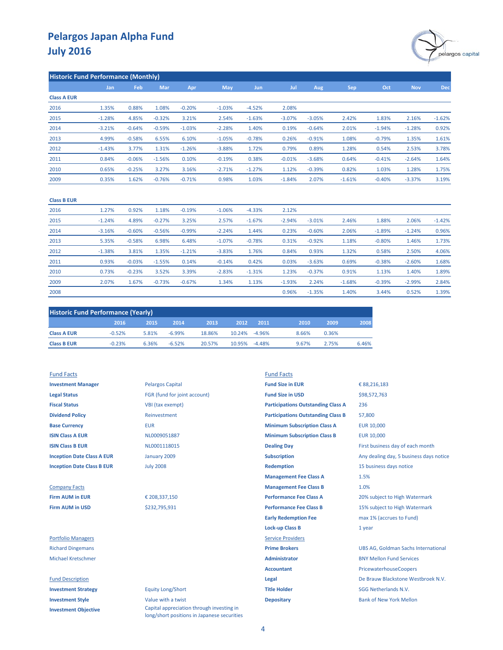

| <b>Historic Fund Performance (Monthly)</b> |          |          |            |          |            |            |          |          |            |          |            |          |
|--------------------------------------------|----------|----------|------------|----------|------------|------------|----------|----------|------------|----------|------------|----------|
|                                            | Jan      | Feb      | <b>Mar</b> | Apr      | <b>May</b> | <b>Jun</b> | Jul      | Aug.     | <b>Sep</b> | Oct      | <b>Nov</b> | Dec      |
| <b>Class A EUR</b>                         |          |          |            |          |            |            |          |          |            |          |            |          |
| 2016                                       | 1.35%    | 0.88%    | 1.08%      | $-0.20%$ | $-1.03%$   | $-4.52%$   | 2.08%    |          |            |          |            |          |
| 2015                                       | $-1.28%$ | 4.85%    | $-0.32%$   | 3.21%    | 2.54%      | $-1.63%$   | $-3.07%$ | $-3.05%$ | 2.42%      | 1.83%    | 2.16%      | $-1.62%$ |
| 2014                                       | $-3.21%$ | $-0.64%$ | $-0.59%$   | $-1.03%$ | $-2.28%$   | 1.40%      | 0.19%    | $-0.64%$ | 2.01%      | $-1.94%$ | $-1.28%$   | 0.92%    |
| 2013                                       | 4.99%    | $-0.58%$ | 6.55%      | 6.10%    | $-1.05%$   | $-0.78%$   | 0.26%    | $-0.91%$ | 1.08%      | $-0.79%$ | 1.35%      | 1.61%    |
| 2012                                       | $-1.43%$ | 3.77%    | 1.31%      | $-1.26%$ | $-3.88%$   | 1.72%      | 0.79%    | 0.89%    | 1.28%      | 0.54%    | 2.53%      | 3.78%    |
| 2011                                       | 0.84%    | $-0.06%$ | $-1.56%$   | 0.10%    | $-0.19%$   | 0.38%      | $-0.01%$ | $-3.68%$ | 0.64%      | $-0.41%$ | $-2.64%$   | 1.64%    |
| 2010                                       | 0.65%    | $-0.25%$ | 3.27%      | 3.16%    | $-2.71%$   | $-1.27%$   | 1.12%    | $-0.39%$ | 0.82%      | 1.03%    | 1.28%      | 1.75%    |
| 2009                                       | 0.35%    | 1.62%    | $-0.76%$   | $-0.71%$ | 0.98%      | 1.03%      | $-1.84%$ | 2.07%    | $-1.61%$   | $-0.40%$ | $-3.37%$   | 3.19%    |

#### **Class B EUR**

| 2016 | 1.27%    | 0.92%    | 1.18%    | $-0.19%$ | $-1.06%$ | $-4.33%$ | 2.12%    |          |          |          |          |          |
|------|----------|----------|----------|----------|----------|----------|----------|----------|----------|----------|----------|----------|
| 2015 | $-1.24%$ | 4.89%    | $-0.27%$ | 3.25%    | 2.57%    | $-1.67%$ | $-2.94%$ | $-3.01%$ | 2.46%    | 1.88%    | 2.06%    | $-1.42%$ |
| 2014 | $-3.16%$ | $-0.60%$ | $-0.56%$ | $-0.99%$ | $-2.24%$ | 1.44%    | 0.23%    | $-0.60%$ | 2.06%    | $-1.89%$ | $-1.24%$ | 0.96%    |
| 2013 | 5.35%    | $-0.58%$ | 6.98%    | 6.48%    | $-1.07%$ | $-0.78%$ | 0.31%    | $-0.92%$ | 1.18%    | $-0.80%$ | 1.46%    | 1.73%    |
| 2012 | $-1.38%$ | 3.81%    | 1.35%    | $-1.21%$ | $-3.83%$ | 1.76%    | 0.84%    | 0.93%    | 1.32%    | 0.58%    | 2.50%    | 4.06%    |
| 2011 | 0.93%    | $-0.03%$ | $-1.55%$ | 0.14%    | $-0.14%$ | 0.42%    | 0.03%    | $-3.63%$ | 0.69%    | $-0.38%$ | $-2.60%$ | 1.68%    |
| 2010 | 0.73%    | $-0.23%$ | 3.52%    | 3.39%    | $-2.83%$ | $-1.31%$ | 1.23%    | $-0.37%$ | 0.91%    | 1.13%    | 1.40%    | 1.89%    |
| 2009 | 2.07%    | 1.67%    | $-0.73%$ | $-0.67%$ | 1.34%    | 1.13%    | $-1.93%$ | 2.24%    | $-1.68%$ | $-0.39%$ | $-2.99%$ | 2.84%    |
| 2008 |          |          |          |          |          |          | 0.96%    | $-1.35%$ | 1.40%    | 3.44%    | 0.52%    | 1.39%    |

| <b>Historic Fund Performance (Yearly)</b> |          |       |          |        |        |               |       |       |       |  |
|-------------------------------------------|----------|-------|----------|--------|--------|---------------|-------|-------|-------|--|
|                                           | 2016     | 2015  | 2014     | 2013   | 2012   | 2011          | 2010  | 2009  | 2008  |  |
| <b>Class A EUR</b>                        | $-0.52%$ | 5.81% | $-6.99%$ | 18.86% |        | 10.24% -4.96% | 8.66% | 0.36% |       |  |
| <b>Class B EUR</b>                        | $-0.23%$ | 6.36% | $-6.52%$ | 20.57% | 10.95% | $-4.48\%$     | 9.67% | 2.75% | 6.46% |  |

### **Fund Facts Fund Facts Fund Facts**

**Investment Objective**

| <b>Investment Manager</b>         | <b>Pelargos Capital</b>      | <b>Fund Size in EUR</b>                   | € 88,216,183                               |
|-----------------------------------|------------------------------|-------------------------------------------|--------------------------------------------|
| <b>Legal Status</b>               | FGR (fund for joint account) | <b>Fund Size in USD</b>                   | \$98,572,763                               |
| <b>Fiscal Status</b>              | VBI (tax exempt)             | <b>Participations Outstanding Class A</b> | 236                                        |
| <b>Dividend Policy</b>            | Reinvestment                 | <b>Participations Outstanding Class B</b> | 57,800                                     |
| <b>Base Currency</b>              | <b>EUR</b>                   | <b>Minimum Subscription Class A</b>       | <b>EUR 10,000</b>                          |
| <b>ISIN Class A EUR</b>           | NL0009051887                 | <b>Minimum Subscription Class B</b>       | <b>EUR 10,000</b>                          |
| <b>ISIN Class B EUR</b>           | NL0001118015                 | <b>Dealing Day</b>                        | First business day of each month           |
| <b>Inception Date Class A EUR</b> | January 2009                 | <b>Subscription</b>                       | Any dealing day, 5 business days notice    |
| <b>Inception Date Class B EUR</b> | <b>July 2008</b>             | <b>Redemption</b>                         | 15 business days notice                    |
|                                   |                              | <b>Management Fee Class A</b>             | 1.5%                                       |
| <b>Company Facts</b>              |                              | <b>Management Fee Class B</b>             | 1.0%                                       |
| <b>Firm AUM in EUR</b>            | € 208,337,150                | <b>Performance Fee Class A</b>            | 20% subject to High Watermark              |
| <b>Firm AUM in USD</b>            | \$232,795,931                | <b>Performance Fee Class B</b>            | 15% subject to High Watermark              |
|                                   |                              | <b>Early Redemption Fee</b>               | max 1% (accrues to Fund)                   |
|                                   |                              | <b>Lock-up Class B</b>                    | 1 year                                     |
| <b>Portfolio Managers</b>         |                              | <b>Service Providers</b>                  |                                            |
| <b>Richard Dingemans</b>          |                              | <b>Prime Brokers</b>                      | <b>UBS AG, Goldman Sachs International</b> |
| <b>Michael Kretschmer</b>         |                              | <b>Administrator</b>                      | <b>BNY Mellon Fund Services</b>            |
|                                   |                              | <b>Accountant</b>                         | PricewaterhouseCoopers                     |
| <b>Fund Description</b>           |                              | Legal                                     | De Brauw Blackstone Westbroek N.V.         |
| <b>Investment Strategy</b>        | <b>Equity Long/Short</b>     | <b>Title Holder</b>                       | SGG Netherlands N.V.                       |
| <b>Investment Style</b>           | Value with a twist           | <b>Depositary</b>                         | <b>Bank of New York Mellon</b>             |

Capital appreciation through investing in long/short positions in Japanese securities